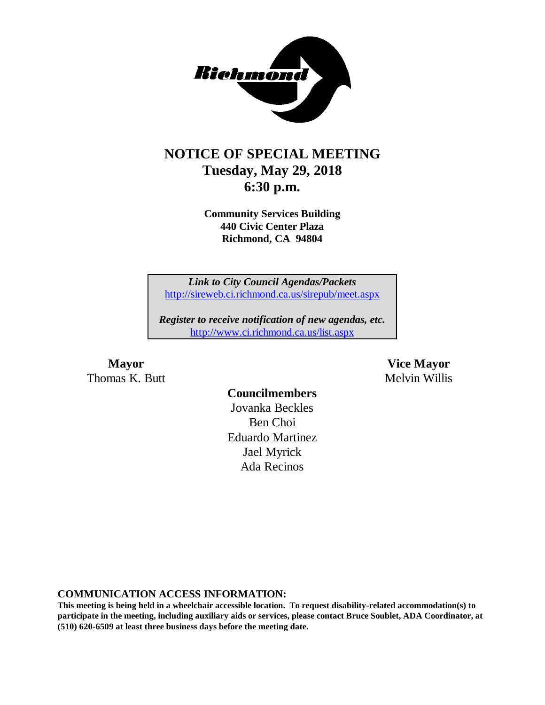

### **NOTICE OF SPECIAL MEETING Tuesday, May 29, 2018 6:30 p.m.**

**Community Services Building 440 Civic Center Plaza Richmond, CA 94804**

*Link to City Council Agendas/Packets* <http://sireweb.ci.richmond.ca.us/sirepub/meet.aspx>

*Register to receive notification of new agendas, etc.* <http://www.ci.richmond.ca.us/list.aspx>

Thomas K. Butt **Melvin Willis** Melvin Willis

**Mayor Vice Mayor**

### **Councilmembers**

Jovanka Beckles Ben Choi Eduardo Martinez Jael Myrick Ada Recinos

**COMMUNICATION ACCESS INFORMATION:**

**This meeting is being held in a wheelchair accessible location. To request disability-related accommodation(s) to participate in the meeting, including auxiliary aids or services, please contact Bruce Soublet, ADA Coordinator, at (510) 620-6509 at least three business days before the meeting date.**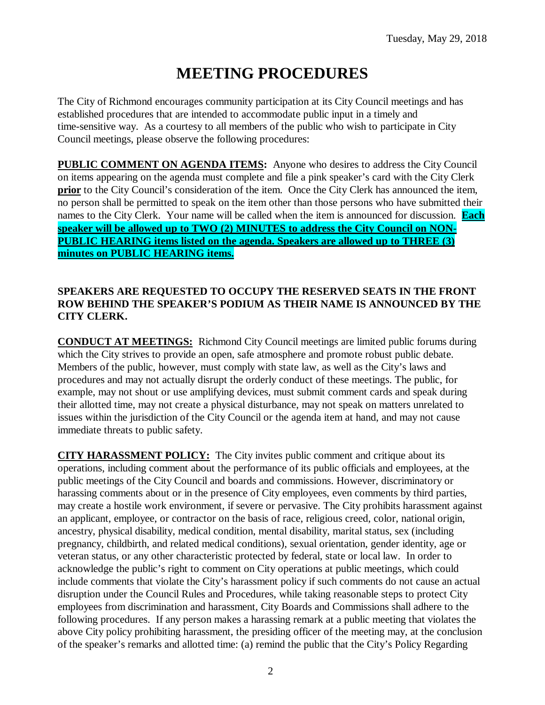# **MEETING PROCEDURES**

The City of Richmond encourages community participation at its City Council meetings and has established procedures that are intended to accommodate public input in a timely and time-sensitive way. As a courtesy to all members of the public who wish to participate in City Council meetings, please observe the following procedures:

**PUBLIC COMMENT ON AGENDA ITEMS:** Anyone who desires to address the City Council on items appearing on the agenda must complete and file a pink speaker's card with the City Clerk **prior** to the City Council's consideration of the item. Once the City Clerk has announced the item, no person shall be permitted to speak on the item other than those persons who have submitted their names to the City Clerk. Your name will be called when the item is announced for discussion. **Each speaker will be allowed up to TWO (2) MINUTES to address the City Council on NON-PUBLIC HEARING items listed on the agenda. Speakers are allowed up to THREE (3) minutes on PUBLIC HEARING items.**

### **SPEAKERS ARE REQUESTED TO OCCUPY THE RESERVED SEATS IN THE FRONT ROW BEHIND THE SPEAKER'S PODIUM AS THEIR NAME IS ANNOUNCED BY THE CITY CLERK.**

**CONDUCT AT MEETINGS:** Richmond City Council meetings are limited public forums during which the City strives to provide an open, safe atmosphere and promote robust public debate. Members of the public, however, must comply with state law, as well as the City's laws and procedures and may not actually disrupt the orderly conduct of these meetings. The public, for example, may not shout or use amplifying devices, must submit comment cards and speak during their allotted time, may not create a physical disturbance, may not speak on matters unrelated to issues within the jurisdiction of the City Council or the agenda item at hand, and may not cause immediate threats to public safety.

**CITY HARASSMENT POLICY:** The City invites public comment and critique about its operations, including comment about the performance of its public officials and employees, at the public meetings of the City Council and boards and commissions. However, discriminatory or harassing comments about or in the presence of City employees, even comments by third parties, may create a hostile work environment, if severe or pervasive. The City prohibits harassment against an applicant, employee, or contractor on the basis of race, religious creed, color, national origin, ancestry, physical disability, medical condition, mental disability, marital status, sex (including pregnancy, childbirth, and related medical conditions), sexual orientation, gender identity, age or veteran status, or any other characteristic protected by federal, state or local law. In order to acknowledge the public's right to comment on City operations at public meetings, which could include comments that violate the City's harassment policy if such comments do not cause an actual disruption under the Council Rules and Procedures, while taking reasonable steps to protect City employees from discrimination and harassment, City Boards and Commissions shall adhere to the following procedures. If any person makes a harassing remark at a public meeting that violates the above City policy prohibiting harassment, the presiding officer of the meeting may, at the conclusion of the speaker's remarks and allotted time: (a) remind the public that the City's Policy Regarding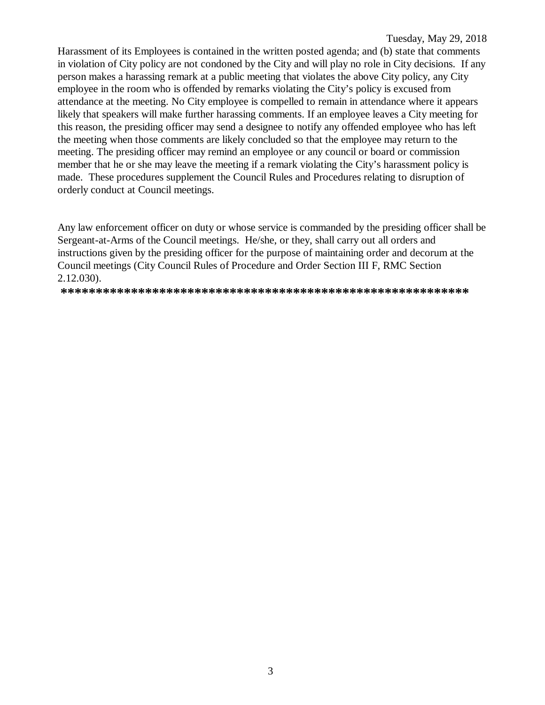Harassment of its Employees is contained in the written posted agenda; and (b) state that comments in violation of City policy are not condoned by the City and will play no role in City decisions. If any person makes a harassing remark at a public meeting that violates the above City policy, any City employee in the room who is offended by remarks violating the City's policy is excused from attendance at the meeting. No City employee is compelled to remain in attendance where it appears likely that speakers will make further harassing comments. If an employee leaves a City meeting for this reason, the presiding officer may send a designee to notify any offended employee who has left the meeting when those comments are likely concluded so that the employee may return to the meeting. The presiding officer may remind an employee or any council or board or commission member that he or she may leave the meeting if a remark violating the City's harassment policy is made. These procedures supplement the Council Rules and Procedures relating to disruption of orderly conduct at Council meetings.

Any law enforcement officer on duty or whose service is commanded by the presiding officer shall be Sergeant-at-Arms of the Council meetings. He/she, or they, shall carry out all orders and instructions given by the presiding officer for the purpose of maintaining order and decorum at the Council meetings (City Council Rules of Procedure and Order Section III F, RMC Section 2.12.030).